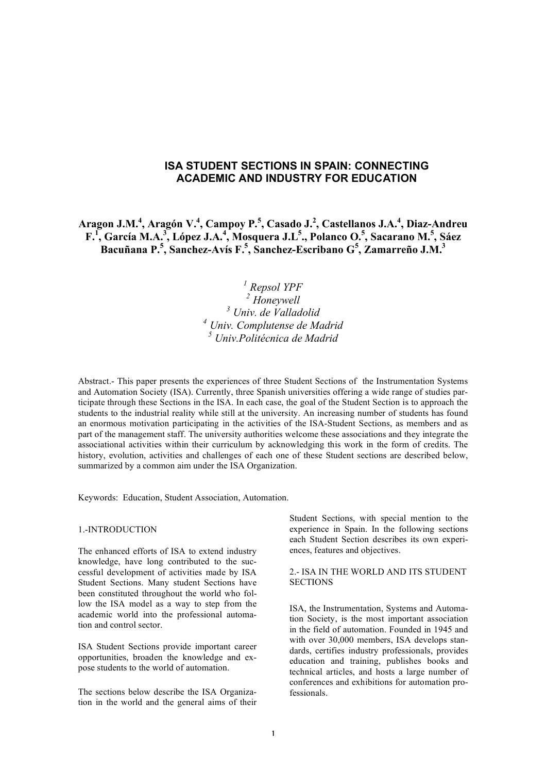# **ISA STUDENT SECTIONS IN SPAIN: CONNECTING ACADEMIC AND INDUSTRY FOR EDUCATION**

Aragon J.M.<sup>4</sup>, Aragón V.<sup>4</sup>, Campoy P.<sup>5</sup>, Casado J.<sup>2</sup>, Castellanos J.A.<sup>4</sup>, Diaz-Andreu F.<sup>I</sup>, García M.A.<sup>3</sup>, López J.A.<sup>4</sup>, Mosquera J.L<sup>5</sup>., Polanco O.<sup>5</sup>, Sacarano M.<sup>5</sup>, Sáez **Bacuñana P. 5 , Sanchez-Avís F. 5 , Sanchez-Escribano G<sup>5</sup> , Zamarreño J.M. 3**

> *Repsol YPF Honeywell Univ. de Valladolid Univ. Complutense de Madrid Univ.Politécnica de Madrid*

Abstract.- This paper presents the experiences of three Student Sections of the Instrumentation Systems and Automation Society (ISA). Currently, three Spanish universities offering a wide range of studies participate through these Sections in the ISA. In each case, the goal of the Student Section is to approach the students to the industrial reality while still at the university. An increasing number of students has found an enormous motivation participating in the activities of the ISA-Student Sections, as members and as part of the management staff. The university authorities welcome these associations and they integrate the associational activities within their curriculum by acknowledging this work in the form of credits. The history, evolution, activities and challenges of each one of these Student sections are described below, summarized by a common aim under the ISA Organization.

Keywords: Education, Student Association, Automation.

#### 1.-INTRODUCTION

The enhanced efforts of ISA to extend industry knowledge, have long contributed to the successful development of activities made by ISA Student Sections. Many student Sections have been constituted throughout the world who follow the ISA model as a way to step from the academic world into the professional automation and control sector.

ISA Student Sections provide important career opportunities, broaden the knowledge and expose students to the world of automation.

The sections below describe the ISA Organization in the world and the general aims of their Student Sections, with special mention to the experience in Spain. In the following sections each Student Section describes its own experiences, features and objectives.

#### 2.- ISA IN THE WORLD AND ITS STUDENT **SECTIONS**

ISA, the Instrumentation, Systems and Automation Society, is the most important association in the field of automation. Founded in 1945 and with over 30,000 members, ISA develops standards, certifies industry professionals, provides education and training, publishes books and technical articles, and hosts a large number of conferences and exhibitions for automation professionals.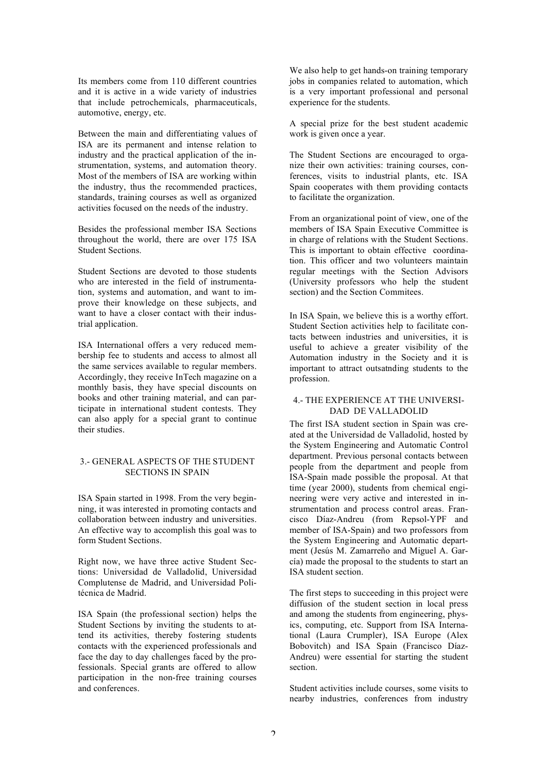Its members come from 110 different countries and it is active in a wide variety of industries that include petrochemicals, pharmaceuticals, automotive, energy, etc.

Between the main and differentiating values of ISA are its permanent and intense relation to industry and the practical application of the instrumentation, systems, and automation theory. Most of the members of ISA are working within the industry, thus the recommended practices, standards, training courses as well as organized activities focused on the needs of the industry.

Besides the professional member ISA Sections throughout the world, there are over 175 ISA Student Sections.

Student Sections are devoted to those students who are interested in the field of instrumentation, systems and automation, and want to improve their knowledge on these subjects, and want to have a closer contact with their industrial application.

ISA International offers a very reduced membership fee to students and access to almost all the same services available to regular members. Accordingly, they receive InTech magazine on a monthly basis, they have special discounts on books and other training material, and can participate in international student contests. They can also apply for a special grant to continue their studies.

## 3.- GENERAL ASPECTS OF THE STUDENT SECTIONS IN SPAIN

ISA Spain started in 1998. From the very beginning, it was interested in promoting contacts and collaboration between industry and universities. An effective way to accomplish this goal was to form Student Sections.

Right now, we have three active Student Sections: Universidad de Valladolid, Universidad Complutense de Madrid, and Universidad Politécnica de Madrid.

ISA Spain (the professional section) helps the Student Sections by inviting the students to attend its activities, thereby fostering students contacts with the experienced professionals and face the day to day challenges faced by the professionals. Special grants are offered to allow participation in the non-free training courses and conferences.

We also help to get hands-on training temporary jobs in companies related to automation, which is a very important professional and personal experience for the students.

A special prize for the best student academic work is given once a year.

The Student Sections are encouraged to organize their own activities: training courses, conferences, visits to industrial plants, etc. ISA Spain cooperates with them providing contacts to facilitate the organization.

From an organizational point of view, one of the members of ISA Spain Executive Committee is in charge of relations with the Student Sections. This is important to obtain effective coordination. This officer and two volunteers maintain regular meetings with the Section Advisors (University professors who help the student section) and the Section Commitees.

In ISA Spain, we believe this is a worthy effort. Student Section activities help to facilitate contacts between industries and universities, it is useful to achieve a greater visibility of the Automation industry in the Society and it is important to attract outsatnding students to the profession.

## 4.- THE EXPERIENCE AT THE UNIVERSI-DAD DE VALLADOLID

The first ISA student section in Spain was created at the Universidad de Valladolid, hosted by the System Engineering and Automatic Control department. Previous personal contacts between people from the department and people from ISA-Spain made possible the proposal. At that time (year 2000), students from chemical engineering were very active and interested in instrumentation and process control areas. Francisco Díaz-Andreu (from Repsol-YPF and member of ISA-Spain) and two professors from the System Engineering and Automatic department (Jesús M. Zamarreño and Miguel A. García) made the proposal to the students to start an ISA student section.

The first steps to succeeding in this project were diffusion of the student section in local press and among the students from engineering, physics, computing, etc. Support from ISA International (Laura Crumpler), ISA Europe (Alex Bobovitch) and ISA Spain (Francisco Díaz-Andreu) were essential for starting the student section.

Student activities include courses, some visits to nearby industries, conferences from industry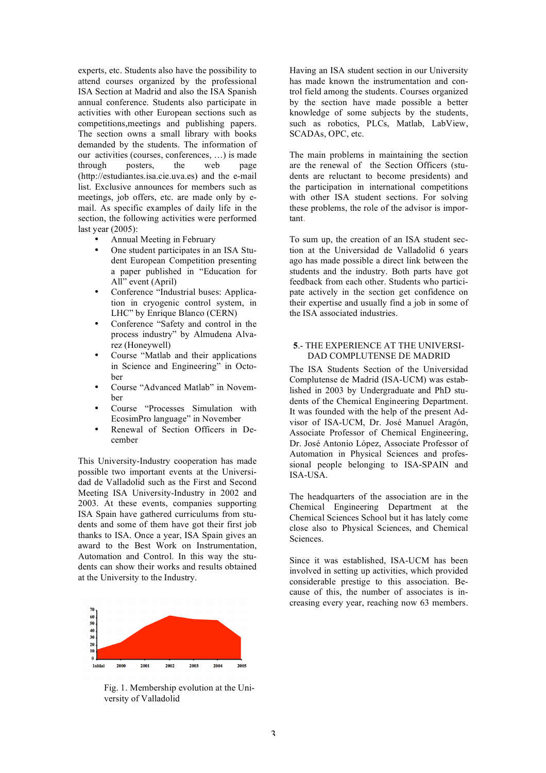experts, etc. Students also have the possibility to attend courses organized by the professional ISA Section at Madrid and also the ISA Spanish annual conference. Students also participate in activities with other European sections such as competitions,meetings and publishing papers. The section owns a small library with books demanded by the students. The information of our activities (courses, conferences, …) is made through posters, the web page (http://estudiantes.isa.cie.uva.es) and the e-mail list. Exclusive announces for members such as meetings, job offers, etc. are made only by email. As specific examples of daily life in the section, the following activities were performed last year (2005):

- Annual Meeting in February
- One student participates in an ISA Student European Competition presenting a paper published in "Education for All" event (April)
- Conference "Industrial buses: Application in cryogenic control system, in LHC" by Enrique Blanco (CERN)
- Conference "Safety and control in the process industry" by Almudena Alvarez (Honeywell)
- Course "Matlab and their applications in Science and Engineering" in October
- Course "Advanced Matlab" in November
- Course "Processes Simulation with EcosimPro language" in November
- Renewal of Section Officers in December

This University-Industry cooperation has made possible two important events at the Universidad de Valladolid such as the First and Second Meeting ISA University-Industry in 2002 and 2003. At these events, companies supporting ISA Spain have gathered curriculums from students and some of them have got their first job thanks to ISA. Once a year, ISA Spain gives an award to the Best Work on Instrumentation, Automation and Control. In this way the students can show their works and results obtained at the University to the Industry.



Fig. 1. Membership evolution at the University of Valladolid

Having an ISA student section in our University has made known the instrumentation and control field among the students. Courses organized by the section have made possible a better knowledge of some subjects by the students, such as robotics, PLCs, Matlab, LabView, SCADAs, OPC, etc.

The main problems in maintaining the section are the renewal of the Section Officers (students are reluctant to become presidents) and the participation in international competitions with other ISA student sections. For solving these problems, the role of the advisor is important.

To sum up, the creation of an ISA student section at the Universidad de Valladolid 6 years ago has made possible a direct link between the students and the industry. Both parts have got feedback from each other. Students who participate actively in the section get confidence on their expertise and usually find a job in some of the ISA associated industries.

## **5**.- THE EXPERIENCE AT THE UNIVERSI-DAD COMPLUTENSE DE MADRID

The ISA Students Section of the Universidad Complutense de Madrid (ISA-UCM) was established in 2003 by Undergraduate and PhD students of the Chemical Engineering Department. It was founded with the help of the present Advisor of ISA-UCM, Dr. José Manuel Aragón, Associate Professor of Chemical Engineering, Dr. José Antonio López, Associate Professor of Automation in Physical Sciences and professional people belonging to ISA-SPAIN and ISA-USA.

The headquarters of the association are in the Chemical Engineering Department at the Chemical Sciences School but it has lately come close also to Physical Sciences, and Chemical Sciences.

Since it was established, ISA-UCM has been involved in setting up activities, which provided considerable prestige to this association. Because of this, the number of associates is increasing every year, reaching now 63 members.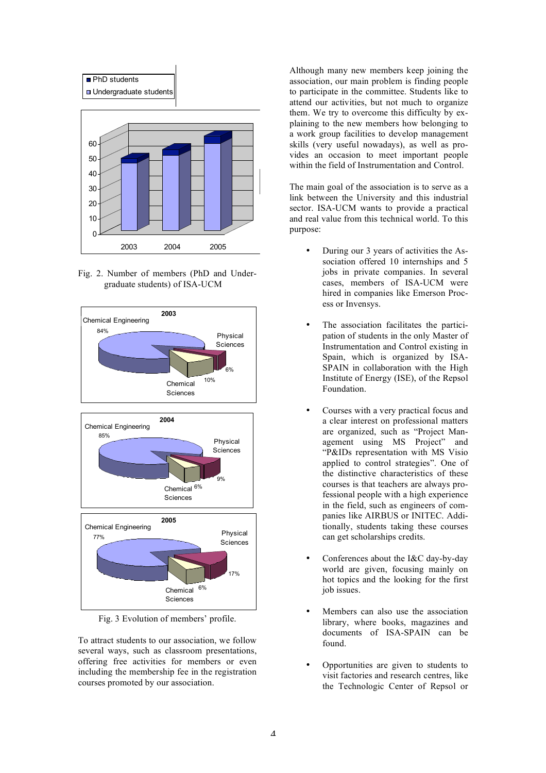

Fig. 2. Number of members (PhD and Undergraduate students) of ISA-UCM



Fig. 3 Evolution of members' profile.

To attract students to our association, we follow several ways, such as classroom presentations, offering free activities for members or even including the membership fee in the registration courses promoted by our association.

Although many new members keep joining the association, our main problem is finding people to participate in the committee. Students like to attend our activities, but not much to organize them. We try to overcome this difficulty by explaining to the new members how belonging to a work group facilities to develop management skills (very useful nowadays), as well as provides an occasion to meet important people within the field of Instrumentation and Control.

The main goal of the association is to serve as a link between the University and this industrial sector. ISA-UCM wants to provide a practical and real value from this technical world. To this purpose:

- During our 3 years of activities the Association offered 10 internships and 5 jobs in private companies. In several cases, members of ISA-UCM were hired in companies like Emerson Process or Invensys.
- The association facilitates the participation of students in the only Master of Instrumentation and Control existing in Spain, which is organized by ISA-SPAIN in collaboration with the High Institute of Energy (ISE), of the Repsol Foundation.
- Courses with a very practical focus and a clear interest on professional matters are organized, such as "Project Management using MS Project" and "P&IDs representation with MS Visio applied to control strategies". One of the distinctive characteristics of these courses is that teachers are always professional people with a high experience in the field, such as engineers of companies like AIRBUS or INITEC. Additionally, students taking these courses can get scholarships credits.
- Conferences about the I&C day-by-day world are given, focusing mainly on hot topics and the looking for the first job issues.
- Members can also use the association library, where books, magazines and documents of ISA-SPAIN can be found.
- Opportunities are given to students to visit factories and research centres, like the Technologic Center of Repsol or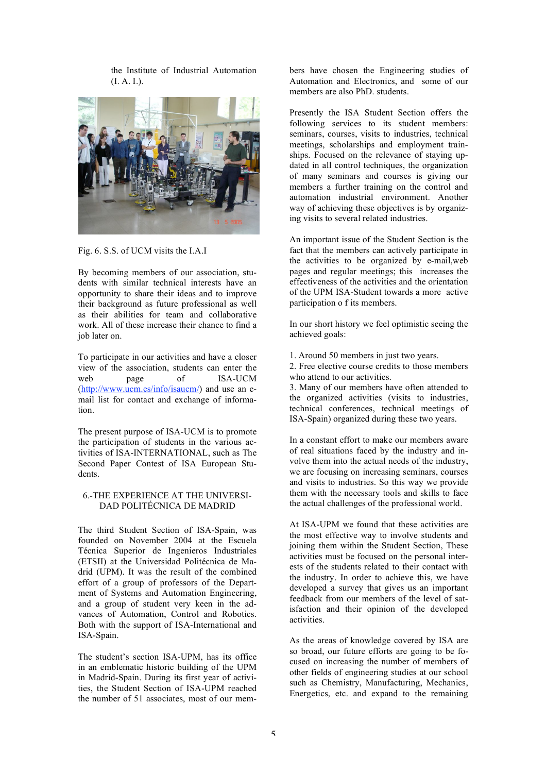the Institute of Industrial Automation (I. A. I.).



Fig. 6. S.S. of UCM visits the I.A.I

By becoming members of our association, students with similar technical interests have an opportunity to share their ideas and to improve their background as future professional as well as their abilities for team and collaborative work. All of these increase their chance to find a job later on.

To participate in our activities and have a closer view of the association, students can enter the web page of ISA-UCM (http://www.ucm.es/info/isaucm/) and use an email list for contact and exchange of information.

The present purpose of ISA-UCM is to promote the participation of students in the various activities of ISA-INTERNATIONAL, such as The Second Paper Contest of ISA European Students.

#### 6.-THE EXPERIENCE AT THE UNIVERSI-DAD POLITÉCNICA DE MADRID

The third Student Section of ISA-Spain, was founded on November 2004 at the Escuela Técnica Superior de Ingenieros Industriales (ETSII) at the Universidad Politécnica de Madrid (UPM). It was the result of the combined effort of a group of professors of the Department of Systems and Automation Engineering, and a group of student very keen in the advances of Automation, Control and Robotics. Both with the support of ISA-International and ISA-Spain.

The student's section ISA-UPM, has its office in an emblematic historic building of the UPM in Madrid-Spain. During its first year of activities, the Student Section of ISA-UPM reached the number of 51 associates, most of our members have chosen the Engineering studies of Automation and Electronics, and some of our members are also PhD. students.

Presently the ISA Student Section offers the following services to its student members: seminars, courses, visits to industries, technical meetings, scholarships and employment trainships. Focused on the relevance of staying updated in all control techniques, the organization of many seminars and courses is giving our members a further training on the control and automation industrial environment. Another way of achieving these objectives is by organizing visits to several related industries.

An important issue of the Student Section is the fact that the members can actively participate in the activities to be organized by e-mail,web pages and regular meetings; this increases the effectiveness of the activities and the orientation of the UPM ISA-Student towards a more active participation o f its members.

In our short history we feel optimistic seeing the achieved goals:

1. Around 50 members in just two years.

2. Free elective course credits to those members who attend to our activities.

3. Many of our members have often attended to the organized activities (visits to industries, technical conferences, technical meetings of ISA-Spain) organized during these two years.

In a constant effort to make our members aware of real situations faced by the industry and involve them into the actual needs of the industry, we are focusing on increasing seminars, courses and visits to industries. So this way we provide them with the necessary tools and skills to face the actual challenges of the professional world.

At ISA-UPM we found that these activities are the most effective way to involve students and joining them within the Student Section, These activities must be focused on the personal interests of the students related to their contact with the industry. In order to achieve this, we have developed a survey that gives us an important feedback from our members of the level of satisfaction and their opinion of the developed activities.

As the areas of knowledge covered by ISA are so broad, our future efforts are going to be focused on increasing the number of members of other fields of engineering studies at our school such as Chemistry, Manufacturing, Mechanics, Energetics, etc. and expand to the remaining